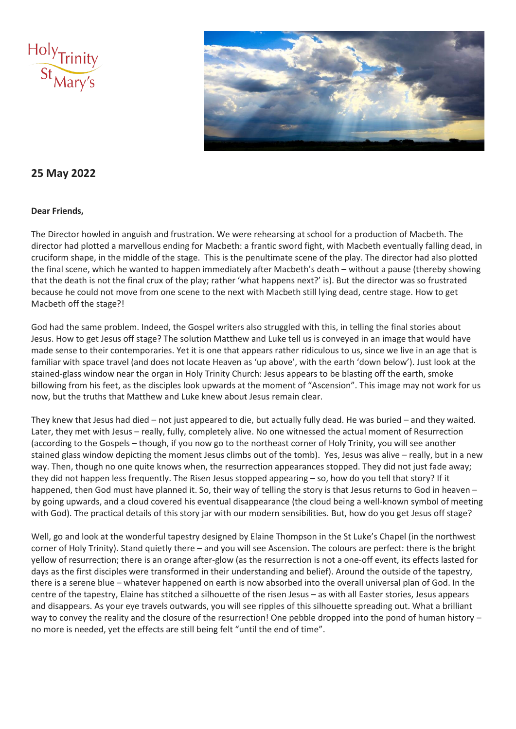



### **25 May 2022**

#### **Dear Friends,**

The Director howled in anguish and frustration. We were rehearsing at school for a production of Macbeth. The director had plotted a marvellous ending for Macbeth: a frantic sword fight, with Macbeth eventually falling dead, in cruciform shape, in the middle of the stage. This is the penultimate scene of the play. The director had also plotted the final scene, which he wanted to happen immediately after Macbeth's death – without a pause (thereby showing that the death is not the final crux of the play; rather 'what happens next?' is). But the director was so frustrated because he could not move from one scene to the next with Macbeth still lying dead, centre stage. How to get Macbeth off the stage?!

God had the same problem. Indeed, the Gospel writers also struggled with this, in telling the final stories about Jesus. How to get Jesus off stage? The solution Matthew and Luke tell us is conveyed in an image that would have made sense to their contemporaries. Yet it is one that appears rather ridiculous to us, since we live in an age that is familiar with space travel (and does not locate Heaven as 'up above', with the earth 'down below'). Just look at the stained-glass window near the organ in Holy Trinity Church: Jesus appears to be blasting off the earth, smoke billowing from his feet, as the disciples look upwards at the moment of "Ascension". This image may not work for us now, but the truths that Matthew and Luke knew about Jesus remain clear.

They knew that Jesus had died – not just appeared to die, but actually fully dead. He was buried – and they waited. Later, they met with Jesus – really, fully, completely alive. No one witnessed the actual moment of Resurrection (according to the Gospels – though, if you now go to the northeast corner of Holy Trinity, you will see another stained glass window depicting the moment Jesus climbs out of the tomb). Yes, Jesus was alive – really, but in a new way. Then, though no one quite knows when, the resurrection appearances stopped. They did not just fade away; they did not happen less frequently. The Risen Jesus stopped appearing – so, how do you tell that story? If it happened, then God must have planned it. So, their way of telling the story is that Jesus returns to God in heaven – by going upwards, and a cloud covered his eventual disappearance (the cloud being a well-known symbol of meeting with God). The practical details of this story jar with our modern sensibilities. But, how do you get Jesus off stage?

Well, go and look at the wonderful tapestry designed by Elaine Thompson in the St Luke's Chapel (in the northwest corner of Holy Trinity). Stand quietly there – and you will see Ascension. The colours are perfect: there is the bright yellow of resurrection; there is an orange after-glow (as the resurrection is not a one-off event, its effects lasted for days as the first disciples were transformed in their understanding and belief). Around the outside of the tapestry, there is a serene blue – whatever happened on earth is now absorbed into the overall universal plan of God. In the centre of the tapestry, Elaine has stitched a silhouette of the risen Jesus – as with all Easter stories, Jesus appears and disappears. As your eye travels outwards, you will see ripples of this silhouette spreading out. What a brilliant way to convey the reality and the closure of the resurrection! One pebble dropped into the pond of human history no more is needed, yet the effects are still being felt "until the end of time".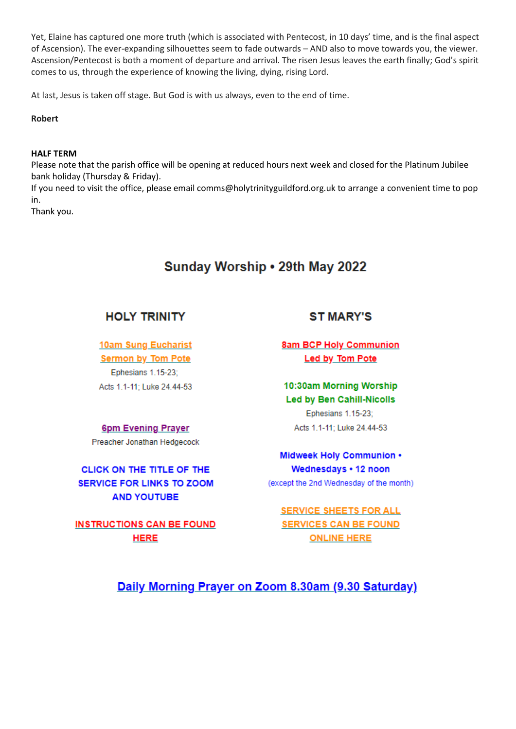Yet, Elaine has captured one more truth (which is associated with Pentecost, in 10 days' time, and is the final aspect of Ascension). The ever-expanding silhouettes seem to fade outwards – AND also to move towards you, the viewer. Ascension/Pentecost is both a moment of departure and arrival. The risen Jesus leaves the earth finally; God's spirit comes to us, through the experience of knowing the living, dying, rising Lord.

At last, Jesus is taken off stage. But God is with us always, even to the end of time.

**Robert**

#### **HALF TERM**

Please note that the parish office will be opening at reduced hours next week and closed for the Platinum Jubilee bank holiday (Thursday & Friday).

If you need to visit the office, please email comms@holytrinityguildford.org.uk to arrange a convenient time to pop in.

Thank you.

# Sunday Worship . 29th May 2022

### **HOLY TRINITY**

**10am Sung Eucharist Sermon by Tom Pote** Ephesians 1.15-23; Acts 1.1-11; Luke 24.44-53

## **6pm Evening Prayer**

Preacher Jonathan Hedgecock

CLICK ON THE TITLE OF THE **SERVICE FOR LINKS TO ZOOM AND YOUTUBE** 

**INSTRUCTIONS CAN BE FOUND HERE** 

## **ST MARY'S**

**8am BCP Holy Communion** Led by Tom Pote

10:30am Morning Worship **Led by Ben Cahill-Nicolls Ephesians 1.15-23:** Acts 1.1-11; Luke 24.44-53

Midweek Holy Communion . Wednesdays . 12 noon (except the 2nd Wednesday of the month)

**SERVICE SHEETS FOR ALL SERVICES CAN BE FOUND ONLINE HERE** 

Daily Morning Prayer on Zoom 8.30am (9.30 Saturday)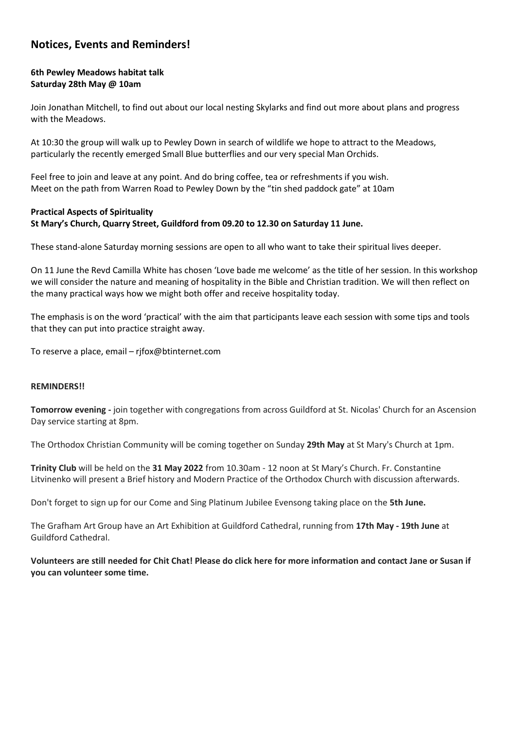### **Notices, Events and Reminders!**

#### **6th Pewley Meadows habitat talk Saturday 28th May @ 10am**

Join Jonathan Mitchell, to find out about our local nesting Skylarks and find out more about plans and progress with the Meadows.

At 10:30 the group will walk up to Pewley Down in search of wildlife we hope to attract to the Meadows, particularly the recently emerged Small Blue butterflies and our very special Man Orchids.

Feel free to join and leave at any point. And do bring coffee, tea or refreshments if you wish. Meet on the path from Warren Road to Pewley Down by the "tin shed paddock gate" at 10am

#### **Practical Aspects of Spirituality St Mary's Church, Quarry Street, Guildford from 09.20 to 12.30 on Saturday 11 June.**

These stand-alone Saturday morning sessions are open to all who want to take their spiritual lives deeper.

On 11 June the Revd Camilla White has chosen 'Love bade me welcome' as the title of her session. In this workshop we will consider the nature and meaning of hospitality in the Bible and Christian tradition. We will then reflect on the many practical ways how we might both offer and receive hospitality today.

The emphasis is on the word 'practical' with the aim that participants leave each session with some tips and tools that they can put into practice straight away.

To reserve a place, email – rjfox@btinternet.com

#### **REMINDERS!!**

**Tomorrow evening -** join together with congregations from across Guildford at St. Nicolas' Church for an Ascension Day service starting at 8pm.

The Orthodox Christian Community will be coming together on Sunday **29th May** at St Mary's Church at 1pm.

**Trinity Club** will be held on the **31 May 2022** from 10.30am - 12 noon at St Mary's Church. Fr. Constantine Litvinenko will present a Brief history and Modern Practice of the Orthodox Church with discussion afterwards.

Don't forget to sign up for our Come and Sing Platinum Jubilee Evensong taking place on the **5th June.**

The Grafham Art Group have an Art Exhibition at Guildford Cathedral, running from **17th May - 19th June** at Guildford Cathedral.

**Volunteers are still needed for Chit Chat! Please do click here for more information and contact Jane or Susan if you can volunteer some time.**